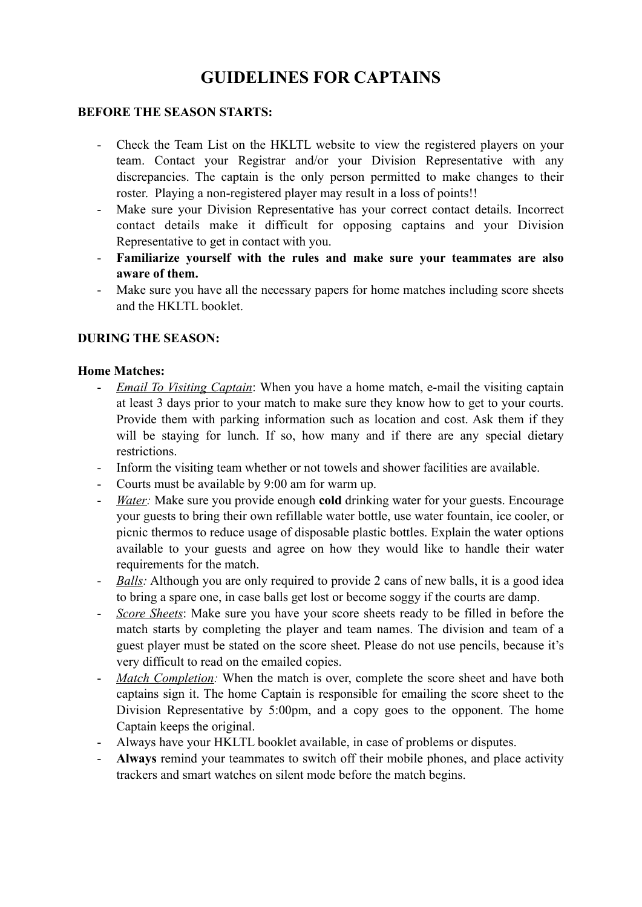# **GUIDELINES FOR CAPTAINS**

#### **BEFORE THE SEASON STARTS:**

- Check the Team List on the HKLTL website to view the registered players on your team. Contact your Registrar and/or your Division Representative with any discrepancies. The captain is the only person permitted to make changes to their roster. Playing a non-registered player may result in a loss of points!!
- Make sure your Division Representative has your correct contact details. Incorrect contact details make it difficult for opposing captains and your Division Representative to get in contact with you.
- **Familiarize yourself with the rules and make sure your teammates are also aware of them.**
- Make sure you have all the necessary papers for home matches including score sheets and the HKLTL booklet.

## **DURING THE SEASON:**

#### **Home Matches:**

- *Email To Visiting Captain*: When you have a home match, e-mail the visiting captain at least 3 days prior to your match to make sure they know how to get to your courts. Provide them with parking information such as location and cost. Ask them if they will be staying for lunch. If so, how many and if there are any special dietary restrictions.
- Inform the visiting team whether or not towels and shower facilities are available.
- Courts must be available by 9:00 am for warm up.
- *Water:* Make sure you provide enough **cold** drinking water for your guests. Encourage your guests to bring their own refillable water bottle, use water fountain, ice cooler, or picnic thermos to reduce usage of disposable plastic bottles. Explain the water options available to your guests and agree on how they would like to handle their water requirements for the match.
- *Balls:* Although you are only required to provide 2 cans of new balls, it is a good idea to bring a spare one, in case balls get lost or become soggy if the courts are damp.
- *Score Sheets*: Make sure you have your score sheets ready to be filled in before the match starts by completing the player and team names. The division and team of a guest player must be stated on the score sheet. Please do not use pencils, because it's very difficult to read on the emailed copies.
- *Match Completion:* When the match is over, complete the score sheet and have both captains sign it. The home Captain is responsible for emailing the score sheet to the Division Representative by 5:00pm, and a copy goes to the opponent. The home Captain keeps the original.
- Always have your HKLTL booklet available, in case of problems or disputes.
- Always remind your teammates to switch off their mobile phones, and place activity trackers and smart watches on silent mode before the match begins.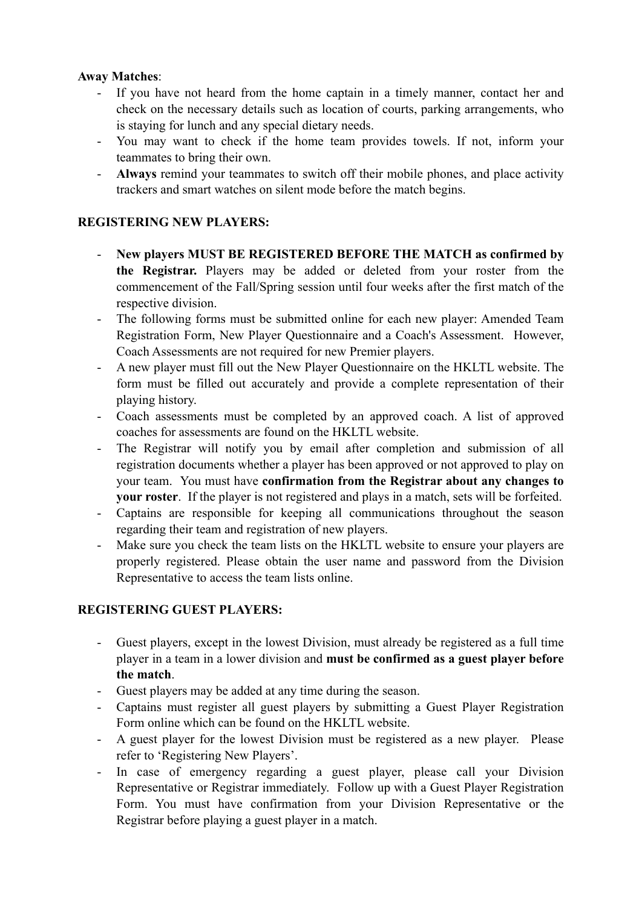#### **Away Matches**:

- If you have not heard from the home captain in a timely manner, contact her and check on the necessary details such as location of courts, parking arrangements, who is staying for lunch and any special dietary needs.
- You may want to check if the home team provides towels. If not, inform your teammates to bring their own.
- **Always** remind your teammates to switch off their mobile phones, and place activity trackers and smart watches on silent mode before the match begins.

## **REGISTERING NEW PLAYERS:**

- **New players MUST BE REGISTERED BEFORE THE MATCH as confirmed by the Registrar.** Players may be added or deleted from your roster from the commencement of the Fall/Spring session until four weeks after the first match of the respective division.
- The following forms must be submitted online for each new player: Amended Team Registration Form, New Player Questionnaire and a Coach's Assessment. However, Coach Assessments are not required for new Premier players.
- A new player must fill out the New Player Questionnaire on the HKLTL website. The form must be filled out accurately and provide a complete representation of their playing history.
- Coach assessments must be completed by an approved coach. A list of approved coaches for assessments are found on the HKLTL website.
- The Registrar will notify you by email after completion and submission of all registration documents whether a player has been approved or not approved to play on your team. You must have **confirmation from the Registrar about any changes to your roster**. If the player is not registered and plays in a match, sets will be forfeited.
- Captains are responsible for keeping all communications throughout the season regarding their team and registration of new players.
- Make sure you check the team lists on the HKLTL website to ensure your players are properly registered. Please obtain the user name and password from the Division Representative to access the team lists online.

#### **REGISTERING GUEST PLAYERS:**

- Guest players, except in the lowest Division, must already be registered as a full time player in a team in a lower division and **must be confirmed as a guest player before the match**.
- Guest players may be added at any time during the season.
- Captains must register all guest players by submitting a Guest Player Registration Form online which can be found on the HKLTL website.
- A guest player for the lowest Division must be registered as a new player. Please refer to 'Registering New Players'.
- In case of emergency regarding a guest player, please call your Division Representative or Registrar immediately. Follow up with a Guest Player Registration Form. You must have confirmation from your Division Representative or the Registrar before playing a guest player in a match.